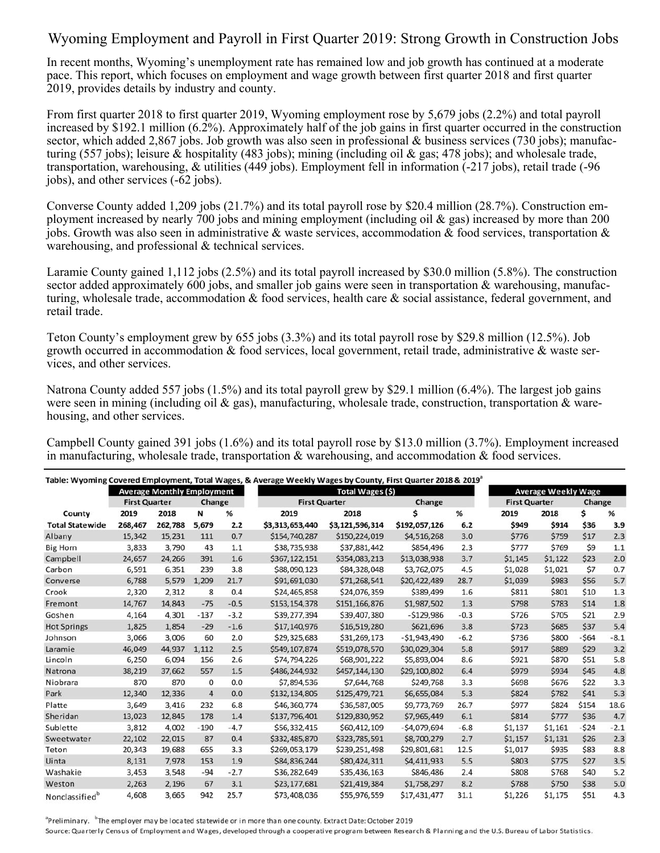## Wyoming Employment and Payroll in First Quarter 2019: Strong Growth in Construction Jobs

In recent months, Wyoming's unemployment rate has remained low and job growth has continued at a moderate pace. This report, which focuses on employment and wage growth between first quarter 2018 and first quarter 2019, provides details by industry and county.

From first quarter 2018 to first quarter 2019, Wyoming employment rose by 5,679 jobs (2.2%) and total payroll increased by \$192.1 million (6.2%). Approximately half of the job gains in first quarter occurred in the construction sector, which added 2,867 jobs. Job growth was also seen in professional & business services (730 jobs); manufacturing (557 jobs); leisure & hospitality (483 jobs); mining (including oil & gas; 478 jobs); and wholesale trade, transportation, warehousing, & utilities (449 jobs). Employment fell in information (-217 jobs), retail trade (-96 jobs), and other services (-62 jobs).

Converse County added 1,209 jobs (21.7%) and its total payroll rose by \$20.4 million (28.7%). Construction employment increased by nearly 700 jobs and mining employment (including oil & gas) increased by more than 200 jobs. Growth was also seen in administrative & waste services, accommodation & food services, transportation & warehousing, and professional & technical services.

Laramie County gained 1,112 jobs (2.5%) and its total payroll increased by \$30.0 million (5.8%). The construction sector added approximately 600 jobs, and smaller job gains were seen in transportation & warehousing, manufacturing, wholesale trade, accommodation & food services, health care & social assistance, federal government, and retail trade.

Teton County's employment grew by 655 jobs (3.3%) and its total payroll rose by \$29.8 million (12.5%). Job growth occurred in accommodation & food services, local government, retail trade, administrative & waste services, and other services.

Natrona County added 557 jobs (1.5%) and its total payroll grew by \$29.1 million (6.4%). The largest job gains were seen in mining (including oil & gas), manufacturing, wholesale trade, construction, transportation & warehousing, and other services.

Campbell County gained 391 jobs (1.6%) and its total payroll rose by \$13.0 million (3.7%). Employment increased in manufacturing, wholesale trade, transportation  $\&$  warehousing, and accommodation  $\&$  food services.

|                        | <b>Average Monthly Employment</b> |         |                |        | Total Wages (\$)     |                 |               |        | <b>Average Weekly Wage</b> |         |        |        |
|------------------------|-----------------------------------|---------|----------------|--------|----------------------|-----------------|---------------|--------|----------------------------|---------|--------|--------|
|                        | <b>First Quarter</b>              |         | Change         |        | <b>First Quarter</b> |                 | Change        |        | <b>First Quarter</b>       |         | Change |        |
| County                 | 2019                              | 2018    | N              | %      | 2019                 | 2018            | Ś             | %      | 2019                       | 2018    | \$     | %      |
| <b>Total Statewide</b> | 268,467                           | 262,788 | 5,679          | 2.2    | \$3,313,653,440      | \$3,121,596,314 | \$192,057,126 | 6.2    | \$949                      | \$914   | \$36   | 3.9    |
| Albany                 | 15,342                            | 15,231  | 111            | 0.7    | \$154,740,287        | \$150,224,019   | \$4,516,268   | 3.0    | \$776                      | \$759   | \$17   | 2.3    |
| <b>Big Horn</b>        | 3,833                             | 3,790   | 43             | 1.1    | \$38,735,938         | \$37,881,442    | \$854,496     | 2.3    | \$777                      | \$769   | \$9    | 1.1    |
| Campbell               | 24,657                            | 24,266  | 391            | 1.6    | \$367,122,151        | \$354,083,213   | \$13,038,938  | 3.7    | \$1,145                    | \$1,122 | \$23   | 2.0    |
| Carbon                 | 6,591                             | 6,351   | 239            | 3.8    | \$88,090,123         | \$84,328,048    | \$3,762,075   | 4.5    | \$1,028                    | \$1,021 | \$7    | 0.7    |
| Converse               | 6,788                             | 5,579   | 1,209          | 21.7   | \$91,691,030         | \$71,268,541    | \$20,422,489  | 28.7   | \$1,039                    | \$983   | \$56   | 5.7    |
| Crook                  | 2,320                             | 2,312   | 8              | 0.4    | \$24,465,858         | \$24,076,359    | \$389,499     | 1.6    | \$811                      | \$801   | \$10   | 1.3    |
| Fremont                | 14,767                            | 14,843  | $-75$          | $-0.5$ | \$153,154,378        | \$151,166,876   | \$1,987,502   | 1.3    | \$798                      | \$783   | \$14   | 1.8    |
| Goshen                 | 4,164                             | 4,301   | $-137$         | $-3.2$ | \$39,277,394         | \$39,407,380    | $-5129,986$   | $-0.3$ | \$726                      | \$705   | \$21   | 2.9    |
| <b>Hot Springs</b>     | 1,825                             | 1,854   | $-29$          | $-1.6$ | \$17,140,976         | \$16,519,280    | \$621,696     | 3.8    | \$723                      | \$685   | \$37   | 5.4    |
| Johnson                | 3,066                             | 3,006   | 60             | 2.0    | \$29,325,683         | \$31,269,173    | $-51,943,490$ | $-6.2$ | \$736                      | \$800   | $-564$ | $-8.1$ |
| Laramie                | 46,049                            | 44,937  | 1,112          | 2.5    | \$549,107,874        | \$519,078,570   | \$30,029,304  | 5.8    | \$917                      | \$889   | \$29   | 3.2    |
| Lincoln                | 6,250                             | 6,094   | 156            | 2.6    | \$74,794,226         | \$68,901,222    | \$5,893,004   | 8.6    | \$921                      | \$870   | \$51   | 5.8    |
| Natrona                | 38,219                            | 37,662  | 557            | 1.5    | \$486,244,932        | \$457,144,130   | \$29,100,802  | 6.4    | \$979                      | \$934   | \$45   | 4.8    |
| Niobrara               | 870                               | 870     | 0              | 0.0    | \$7,894,536          | \$7,644,768     | \$249,768     | 3.3    | \$698                      | \$676   | \$22   | 3.3    |
| Park                   | 12,340                            | 12,336  | $\overline{4}$ | 0.0    | \$132,134,805        | \$125,479,721   | \$6,655,084   | 5.3    | \$824                      | \$782   | \$41   | 5.3    |
| Platte                 | 3,649                             | 3,416   | 232            | 6.8    | \$46,360,774         | \$36,587,005    | \$9,773,769   | 26.7   | \$977                      | \$824   | \$154  | 18.6   |
| Sheridan               | 13,023                            | 12,845  | 178            | 1.4    | \$137,796,401        | \$129,830,952   | \$7,965,449   | 6.1    | \$814                      | \$777   | \$36   | 4.7    |
| Sublette               | 3,812                             | 4,002   | $-190$         | $-4.7$ | \$56,332,415         | \$60,412,109    | $-54,079,694$ | $-6.8$ | \$1,137                    | \$1,161 | $-524$ | $-2.1$ |
| Sweetwater             | 22,102                            | 22,015  | 87             | 0.4    | \$332,485,870        | \$323,785,591   | \$8,700,279   | 2.7    | \$1,157                    | \$1,131 | \$26   | 2.3    |
| Teton                  | 20,343                            | 19,688  | 655            | 3.3    | \$269,053,179        | \$239,251,498   | \$29,801,681  | 12.5   | \$1,017                    | \$935   | \$83   | 8.8    |
| Uinta                  | 8,131                             | 7,978   | 153            | 1.9    | \$84,836,244         | \$80,424,311    | \$4,411,933   | 5.5    | \$803                      | \$775   | \$27   | 3.5    |
| Washakie               | 3,453                             | 3,548   | $-94$          | $-2.7$ | \$36,282,649         | \$35,436,163    | \$846,486     | 2.4    | \$808                      | \$768   | \$40   | 5.2    |
| Weston                 | 2,263                             | 2,196   | 67             | 3.1    | \$23,177,681         | \$21,419,384    | \$1,758,297   | 8.2    | \$788                      | \$750   | \$38   | 5.0    |
| Nonclassifiedb         | 4,608                             | 3,665   | 942            | 25.7   | \$73,408,036         | \$55,976,559    | \$17,431,477  | 31.1   | \$1,226                    | \$1,175 | \$51   | 4.3    |

<sup>a</sup>Preliminary. <sup>b</sup>The employer may be located statewide or in more than one county. Extract Date: October 2019

Source: Quarterly Census of Employment and Wages, developed through a cooperative program between Research & Planning and the U.S. Bureau of Labor Statistics.